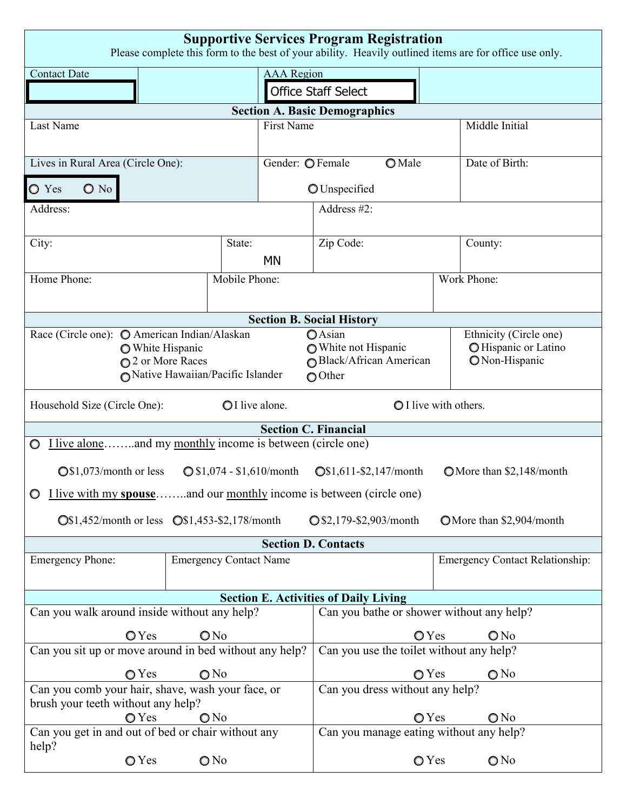| <b>Supportive Services Program Registration</b><br>Please complete this form to the best of your ability. Heavily outlined items are for office use only. |                                                                  |                                                                                                                                                 |                |                                        |  |
|-----------------------------------------------------------------------------------------------------------------------------------------------------------|------------------------------------------------------------------|-------------------------------------------------------------------------------------------------------------------------------------------------|----------------|----------------------------------------|--|
| <b>Contact Date</b>                                                                                                                                       |                                                                  | <b>AAA</b> Region                                                                                                                               |                |                                        |  |
| <b>Office Staff Select</b>                                                                                                                                |                                                                  |                                                                                                                                                 |                |                                        |  |
| <b>Section A. Basic Demographics</b>                                                                                                                      |                                                                  |                                                                                                                                                 |                |                                        |  |
| Last Name                                                                                                                                                 |                                                                  | <b>First Name</b>                                                                                                                               |                | Middle Initial                         |  |
| Lives in Rural Area (Circle One):                                                                                                                         | Gender: O Female                                                 | O Male                                                                                                                                          | Date of Birth: |                                        |  |
| O Yes<br>$\bigcirc$ No                                                                                                                                    |                                                                  | <b>O</b> Unspecified                                                                                                                            |                |                                        |  |
| Address:                                                                                                                                                  |                                                                  | Address #2:                                                                                                                                     |                |                                        |  |
| City:                                                                                                                                                     | State:<br><b>MN</b>                                              | Zip Code:                                                                                                                                       |                | County:                                |  |
| Home Phone:<br>Mobile Phone:                                                                                                                              |                                                                  |                                                                                                                                                 |                | Work Phone:                            |  |
| <b>Section B. Social History</b>                                                                                                                          |                                                                  |                                                                                                                                                 |                |                                        |  |
| Race (Circle one): O American Indian/Alaskan<br><b>O</b> White Hispanic<br>2 or More Races<br>Native Hawaiian/Pacific Islander                            |                                                                  | Ethnicity (Circle one)<br>OAsian<br>O Hispanic or Latino<br>◯ White not Hispanic<br>Black/African American<br>ONon-Hispanic<br>$\bigcirc$ Other |                |                                        |  |
| Household Size (Circle One):                                                                                                                              | <b>Q</b> I live with others.                                     |                                                                                                                                                 |                |                                        |  |
| <b>Section C. Financial</b>                                                                                                                               |                                                                  |                                                                                                                                                 |                |                                        |  |
| I live aloneand my monthly income is between (circle one)                                                                                                 |                                                                  |                                                                                                                                                 |                |                                        |  |
| $\bigcirc$ \$1,073/month or less<br>$\bigcirc$ \$1,074 - \$1,610/month                                                                                    | $\textcircled{S}1,611-\$2,147/month$<br>OMore than \$2,148/month |                                                                                                                                                 |                |                                        |  |
| <u>I live with my spouse</u> and our <u>monthly</u> income is between (circle one)                                                                        |                                                                  |                                                                                                                                                 |                |                                        |  |
| $\textcircled{S}1,452/\text{month}$ or less $\textcircled{S}1,453-\$2,178/\text{month}$                                                                   |                                                                  | ◯ \$2,179-\$2,903/month<br>OMore than \$2,904/month                                                                                             |                |                                        |  |
| <b>Section D. Contacts</b>                                                                                                                                |                                                                  |                                                                                                                                                 |                |                                        |  |
| Emergency Phone:                                                                                                                                          | <b>Emergency Contact Name</b>                                    |                                                                                                                                                 |                | <b>Emergency Contact Relationship:</b> |  |
| <b>Section E. Activities of Daily Living</b>                                                                                                              |                                                                  |                                                                                                                                                 |                |                                        |  |
| Can you bathe or shower without any help?<br>Can you walk around inside without any help?                                                                 |                                                                  |                                                                                                                                                 |                |                                        |  |
| OYes<br>ON <sub>0</sub>                                                                                                                                   |                                                                  | $\mathbb{O}$ Yes<br>ON <sub>0</sub>                                                                                                             |                |                                        |  |
| Can you sit up or move around in bed without any help?                                                                                                    |                                                                  | Can you use the toilet without any help?                                                                                                        |                |                                        |  |
| $\mathbf{O}$ Yes<br>$\bigcirc$ No                                                                                                                         |                                                                  | $\mathbb{O}$ Yes<br>$\bigcirc$ No                                                                                                               |                |                                        |  |
| Can you comb your hair, shave, wash your face, or<br>Can you dress without any help?                                                                      |                                                                  |                                                                                                                                                 |                |                                        |  |
| brush your teeth without any help?<br><b>O</b> Yes<br>$\mathsf{O}\mathrm{No}$                                                                             |                                                                  | O Yes<br>$\bigcirc$ No                                                                                                                          |                |                                        |  |
| Can you get in and out of bed or chair without any<br>Can you manage eating without any help?<br>help?                                                    |                                                                  |                                                                                                                                                 |                |                                        |  |
| O Yes<br>$\bigcirc$ No                                                                                                                                    |                                                                  |                                                                                                                                                 | O Yes          | $\bigcirc$ No                          |  |